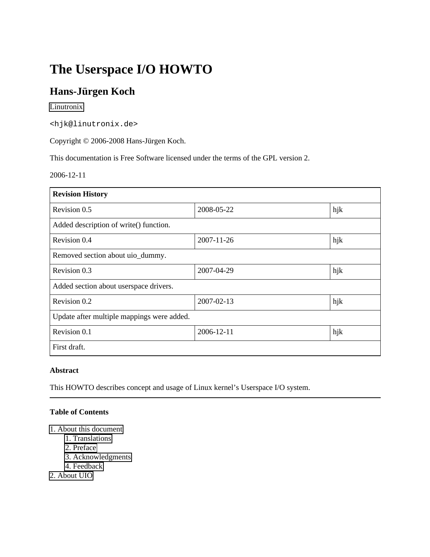# **The Userspace I/O HOWTO**

#### **Hans-Jürgen Koch**

#### [Linutronix](http://www.linutronix.de/)

<hjk@linutronix.de>

Copyright © 2006-2008 Hans-Jürgen Koch.

This documentation is Free Software licensed under the terms of the GPL version 2.

2006-12-11

| <b>Revision History</b>                    |                  |     |
|--------------------------------------------|------------------|-----|
| Revision 0.5                               | 2008-05-22       | hjk |
| Added description of write() function.     |                  |     |
| Revision 0.4                               | $2007 - 11 - 26$ | hjk |
| Removed section about uio_dummy.           |                  |     |
| Revision 0.3                               | 2007-04-29       | hjk |
| Added section about userspace drivers.     |                  |     |
| Revision 0.2                               | 2007-02-13       | hjk |
| Update after multiple mappings were added. |                  |     |
| Revision 0.1                               | 2006-12-11       | hjk |
| First draft.                               |                  |     |

#### **Abstract**

This HOWTO describes concept and usage of Linux kernel's Userspace I/O system.

#### **Table of Contents**

- 1. About this document
	- 1. Translations
	- 2. Preface
	- 3. Acknowledgments
	- 4. Feedback
- 2. About UIO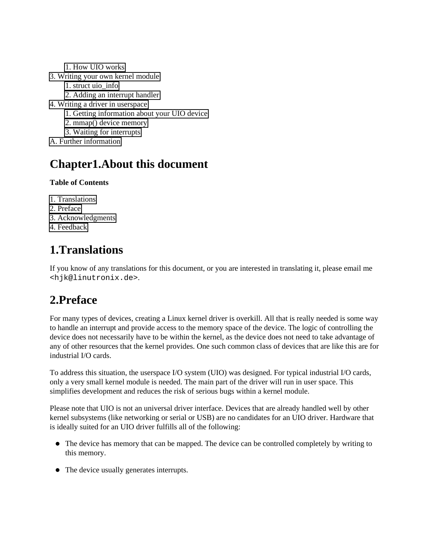- 1. How UIO works
- 3. Writing your own kernel module
	- 1. struct uio\_info
	- 2. Adding an interrupt handler
- 4. Writing a driver in userspace
	- 1. Getting information about your UIO device
	- 2. mmap() device memory
	- 3. Waiting for interrupts
- A. Further information

### **Chapter1.About this document**

#### **Table of Contents**

- 1. Translations
- 2. Preface
- 3. Acknowledgments
- 4. Feedback

# **1.Translations**

If you know of any translations for this document, or you are interested in translating it, please email me <hjk@linutronix.de>.

# **2.Preface**

For many types of devices, creating a Linux kernel driver is overkill. All that is really needed is some way to handle an interrupt and provide access to the memory space of the device. The logic of controlling the device does not necessarily have to be within the kernel, as the device does not need to take advantage of any of other resources that the kernel provides. One such common class of devices that are like this are for industrial I/O cards.

To address this situation, the userspace I/O system (UIO) was designed. For typical industrial I/O cards, only a very small kernel module is needed. The main part of the driver will run in user space. This simplifies development and reduces the risk of serious bugs within a kernel module.

Please note that UIO is not an universal driver interface. Devices that are already handled well by other kernel subsystems (like networking or serial or USB) are no candidates for an UIO driver. Hardware that is ideally suited for an UIO driver fulfills all of the following:

- The device has memory that can be mapped. The device can be controlled completely by writing to this memory.
- The device usually generates interrupts.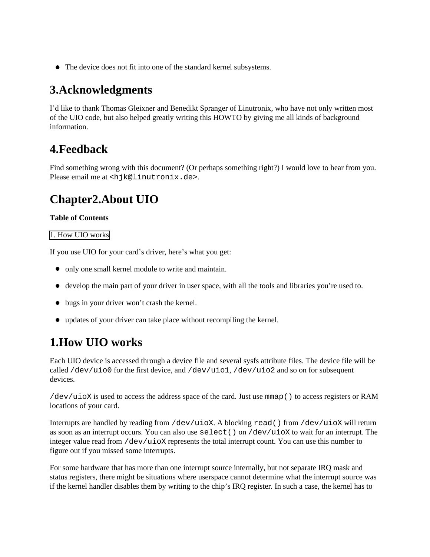The device does not fit into one of the standard kernel subsystems.

# **3.Acknowledgments**

I'd like to thank Thomas Gleixner and Benedikt Spranger of Linutronix, who have not only written most of the UIO code, but also helped greatly writing this HOWTO by giving me all kinds of background information.

### **4.Feedback**

Find something wrong with this document? (Or perhaps something right?) I would love to hear from you. Please email me at <hjk@linutronix.de>.

# **Chapter2.About UIO**

#### **Table of Contents**

1. How UIO works

If you use UIO for your card's driver, here's what you get:

- only one small kernel module to write and maintain.
- develop the main part of your driver in user space, with all the tools and libraries you're used to.
- bugs in your driver won't crash the kernel.
- updates of your driver can take place without recompiling the kernel.

# **1.How UIO works**

Each UIO device is accessed through a device file and several sysfs attribute files. The device file will be called /dev/uio0 for the first device, and /dev/uio1, /dev/uio2 and so on for subsequent devices.

/dev/uioX is used to access the address space of the card. Just use mmap() to access registers or RAM locations of your card.

Interrupts are handled by reading from /dev/uioX. A blocking read() from /dev/uioX will return as soon as an interrupt occurs. You can also use select() on /dev/uioX to wait for an interrupt. The integer value read from /dev/uioX represents the total interrupt count. You can use this number to figure out if you missed some interrupts.

For some hardware that has more than one interrupt source internally, but not separate IRQ mask and status registers, there might be situations where userspace cannot determine what the interrupt source was if the kernel handler disables them by writing to the chip's IRQ register. In such a case, the kernel has to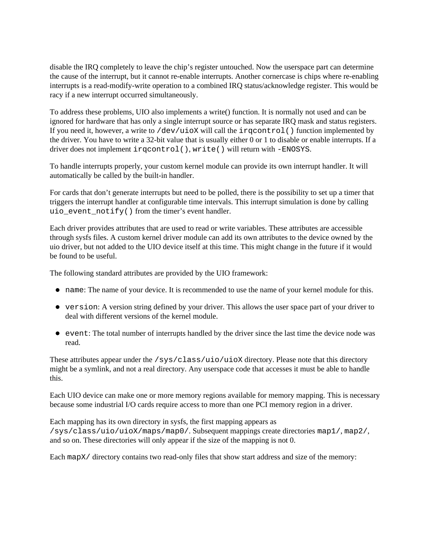disable the IRQ completely to leave the chip's register untouched. Now the userspace part can determine the cause of the interrupt, but it cannot re-enable interrupts. Another cornercase is chips where re-enabling interrupts is a read-modify-write operation to a combined IRQ status/acknowledge register. This would be racy if a new interrupt occurred simultaneously.

To address these problems, UIO also implements a write() function. It is normally not used and can be ignored for hardware that has only a single interrupt source or has separate IRQ mask and status registers. If you need it, however, a write to /dev/uioX will call the irqcontrol() function implemented by the driver. You have to write a 32-bit value that is usually either 0 or 1 to disable or enable interrupts. If a driver does not implement irqcontrol(), write() will return with -ENOSYS.

To handle interrupts properly, your custom kernel module can provide its own interrupt handler. It will automatically be called by the built-in handler.

For cards that don't generate interrupts but need to be polled, there is the possibility to set up a timer that triggers the interrupt handler at configurable time intervals. This interrupt simulation is done by calling uio\_event\_notify() from the timer's event handler.

Each driver provides attributes that are used to read or write variables. These attributes are accessible through sysfs files. A custom kernel driver module can add its own attributes to the device owned by the uio driver, but not added to the UIO device itself at this time. This might change in the future if it would be found to be useful.

The following standard attributes are provided by the UIO framework:

- name: The name of your device. It is recommended to use the name of your kernel module for this.
- version: A version string defined by your driver. This allows the user space part of your driver to deal with different versions of the kernel module.
- event: The total number of interrupts handled by the driver since the last time the device node was read.

These attributes appear under the /sys/class/uio/uioX directory. Please note that this directory might be a symlink, and not a real directory. Any userspace code that accesses it must be able to handle this.

Each UIO device can make one or more memory regions available for memory mapping. This is necessary because some industrial I/O cards require access to more than one PCI memory region in a driver.

Each mapping has its own directory in sysfs, the first mapping appears as /sys/class/uio/uioX/maps/map0/. Subsequent mappings create directories map1/, map2/, and so on. These directories will only appear if the size of the mapping is not 0.

Each mapX/ directory contains two read-only files that show start address and size of the memory: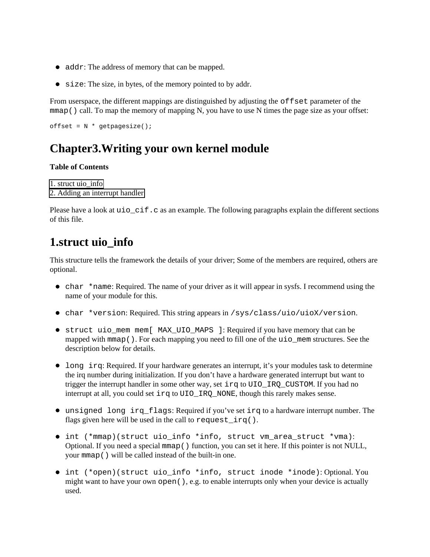- addr: The address of memory that can be mapped.
- size: The size, in bytes, of the memory pointed to by addr.

From userspace, the different mappings are distinguished by adjusting the offset parameter of the  $mmap()$  call. To map the memory of mapping N, you have to use N times the page size as your offset:

 $offset = N * getpaqesize()$ ;

# **Chapter3.Writing your own kernel module**

#### **Table of Contents**

1. struct uio\_info 2. Adding an interrupt handler

Please have a look at uio  $\text{cif.c}$  as an example. The following paragraphs explain the different sections of this file.

### **1.struct uio\_info**

This structure tells the framework the details of your driver; Some of the members are required, others are optional.

- char \*name: Required. The name of your driver as it will appear in sysfs. I recommend using the name of your module for this.
- char \*version: Required. This string appears in /sys/class/uio/uioX/version.
- struct uio\_mem mem[ MAX\_UIO\_MAPS ]: Required if you have memory that can be mapped with mmap(). For each mapping you need to fill one of the uio mem structures. See the description below for details.
- Long irq: Required. If your hardware generates an interrupt, it's your modules task to determine the irq number during initialization. If you don't have a hardware generated interrupt but want to trigger the interrupt handler in some other way, set irq to UIO IRQ CUSTOM. If you had no interrupt at all, you could set irq to UIO\_IRQ\_NONE, though this rarely makes sense.
- unsigned long irq\_flags: Required if you've set irq to a hardware interrupt number. The flags given here will be used in the call to request\_irq().
- int (\*mmap)(struct uio\_info \*info, struct vm\_area\_struct \*vma): Optional. If you need a special mmap() function, you can set it here. If this pointer is not NULL, your mmap() will be called instead of the built-in one.
- int (\*open)(struct uio\_info \*info, struct inode \*inode): Optional. You might want to have your own open(), e.g. to enable interrupts only when your device is actually used.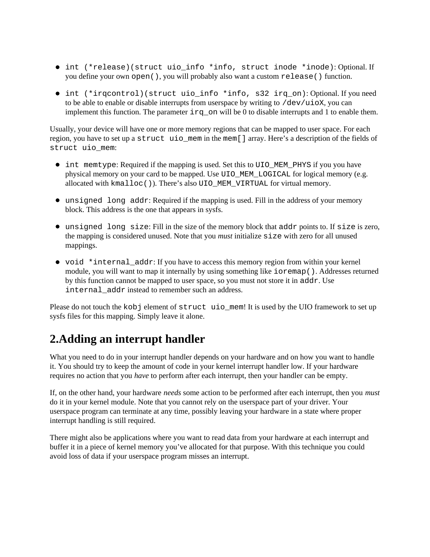- int (\*release)(struct uio\_info \*info, struct inode \*inode): Optional. If you define your own open(), you will probably also want a custom release() function.
- int (\*irqcontrol)(struct uio\_info \*info, s32 irq\_on): Optional. If you need to be able to enable or disable interrupts from userspace by writing to  $/dev/uiox$ , you can implement this function. The parameter  $i \text{rq}_0$  on will be 0 to disable interrupts and 1 to enable them.

Usually, your device will have one or more memory regions that can be mapped to user space. For each region, you have to set up a struct uio\_mem in the mem[] array. Here's a description of the fields of struct uio\_mem:

- int memtype: Required if the mapping is used. Set this to UIO MEM PHYS if you you have physical memory on your card to be mapped. Use UIO\_MEM\_LOGICAL for logical memory (e.g. allocated with kmalloc()). There's also UIO\_MEM\_VIRTUAL for virtual memory.
- unsigned long addr: Required if the mapping is used. Fill in the address of your memory block. This address is the one that appears in sysfs.
- unsigned long size: Fill in the size of the memory block that addr points to. If size is zero, the mapping is considered unused. Note that you *must* initialize size with zero for all unused mappings.
- void \*internal\_addr: If you have to access this memory region from within your kernel module, you will want to map it internally by using something like ioremap(). Addresses returned by this function cannot be mapped to user space, so you must not store it in addr. Use internal\_addr instead to remember such an address.

Please do not touch the kobj element of struct uio mem! It is used by the UIO framework to set up sysfs files for this mapping. Simply leave it alone.

### **2.Adding an interrupt handler**

What you need to do in your interrupt handler depends on your hardware and on how you want to handle it. You should try to keep the amount of code in your kernel interrupt handler low. If your hardware requires no action that you *have* to perform after each interrupt, then your handler can be empty.

If, on the other hand, your hardware *needs* some action to be performed after each interrupt, then you *must* do it in your kernel module. Note that you cannot rely on the userspace part of your driver. Your userspace program can terminate at any time, possibly leaving your hardware in a state where proper interrupt handling is still required.

There might also be applications where you want to read data from your hardware at each interrupt and buffer it in a piece of kernel memory you've allocated for that purpose. With this technique you could avoid loss of data if your userspace program misses an interrupt.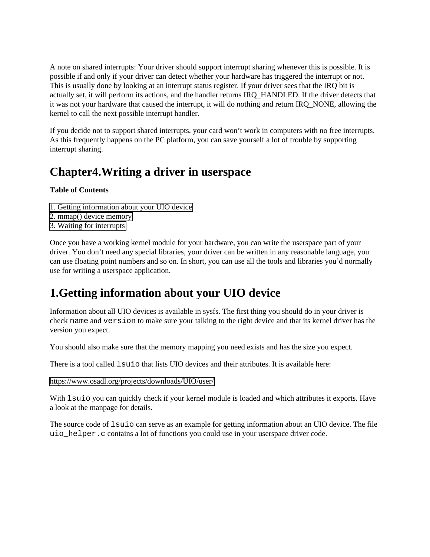A note on shared interrupts: Your driver should support interrupt sharing whenever this is possible. It is possible if and only if your driver can detect whether your hardware has triggered the interrupt or not. This is usually done by looking at an interrupt status register. If your driver sees that the IRQ bit is actually set, it will perform its actions, and the handler returns IRQ\_HANDLED. If the driver detects that it was not your hardware that caused the interrupt, it will do nothing and return IRQ\_NONE, allowing the kernel to call the next possible interrupt handler.

If you decide not to support shared interrupts, your card won't work in computers with no free interrupts. As this frequently happens on the PC platform, you can save yourself a lot of trouble by supporting interrupt sharing.

### **Chapter4.Writing a driver in userspace**

#### **Table of Contents**

- 1. Getting information about your UIO device
- 2. mmap() device memory
- 3. Waiting for interrupts

Once you have a working kernel module for your hardware, you can write the userspace part of your driver. You don't need any special libraries, your driver can be written in any reasonable language, you can use floating point numbers and so on. In short, you can use all the tools and libraries you'd normally use for writing a userspace application.

### **1.Getting information about your UIO device**

Information about all UIO devices is available in sysfs. The first thing you should do in your driver is check name and version to make sure your talking to the right device and that its kernel driver has the version you expect.

You should also make sure that the memory mapping you need exists and has the size you expect.

There is a tool called  $\text{l} \text{suio}$  that lists UIO devices and their attributes. It is available here:

<https://www.osadl.org/projects/downloads/UIO/user/>

With lsuio you can quickly check if your kernel module is loaded and which attributes it exports. Have a look at the manpage for details.

The source code of lsuio can serve as an example for getting information about an UIO device. The file uio\_helper.c contains a lot of functions you could use in your userspace driver code.